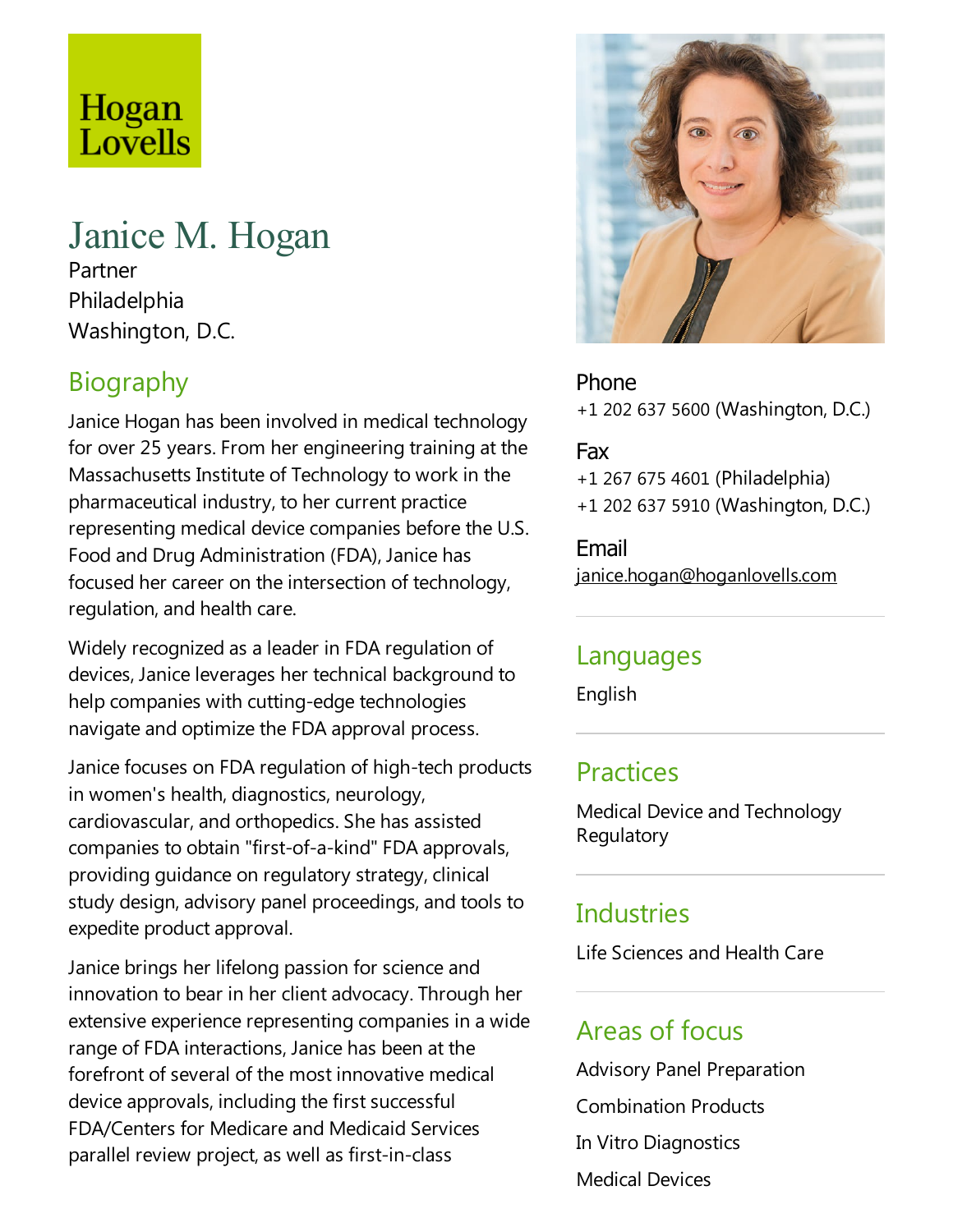# Hogan Lovells

# Janice M. Hogan

Partner Philadelphia Washington, D.C.

# **Biography**

Janice Hogan has been involved in medical technology for over 25 years. From her engineering training at the Massachusetts Institute of Technology to work in the pharmaceutical industry, to her current practice representing medical device companies before the U.S. Food and Drug Administration (FDA), Janice has focused her career on the intersection of technology, regulation, and health care.

Widely recognized as aleader in FDA regulation of devices, Janice leverages her technical background to help companies with cutting-edge technologies navigate and optimize the FDA approval process.

Janice focuses on FDA regulation of high-tech products in women's health, diagnostics, neurology, cardiovascular, and orthopedics. She has assisted companies to obtain "first-of-a-kind" FDA approvals, providing guidance on regulatory strategy, clinical study design, advisory panel proceedings, and tools to expedite product approval.

Janice brings her lifelong passion for science and innovation to bear in her client advocacy. Through her extensive experience representing companies in a wide range of FDA interactions, Janice has been at the forefront of several of the most innovative medical device approvals, including the first successful FDA/Centers for Medicare and Medicaid Services parallel review project, as well as first-in-class



Phone +1 202 637 5600 (Washington, D.C.)

#### Fax

+1 267 675 4601 (Philadelphia) +1 202 637 5910 (Washington, D.C.)

Email janice.hogan@hoganlovells.com

#### Languages

English

#### **Practices**

Medical Device and Technology Regulatory

### **Industries**

Life Sciences and Health Care

#### Areas of focus

Advisory Panel Preparation Combination Products In Vitro Diagnostics Medical Devices